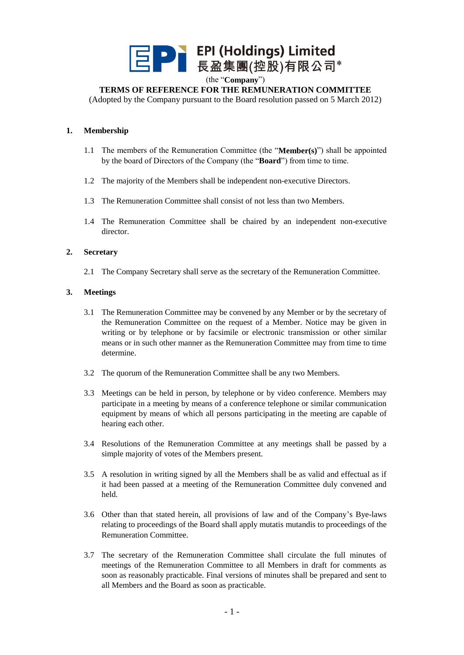

(the "**Company**")

## **TERMS OF REFERENCE FOR THE REMUNERATION COMMITTEE**

(Adopted by the Company pursuant to the Board resolution passed on 5 March 2012)

#### **1. Membership**

- 1.1 The members of the Remuneration Committee (the "**Member(s)**") shall be appointed by the board of Directors of the Company (the "**Board**") from time to time.
- 1.2 The majority of the Members shall be independent non-executive Directors.
- 1.3 The Remuneration Committee shall consist of not less than two Members.
- 1.4 The Remuneration Committee shall be chaired by an independent non-executive director.

#### **2. Secretary**

2.1 The Company Secretary shall serve as the secretary of the Remuneration Committee.

#### **3. Meetings**

- 3.1 The Remuneration Committee may be convened by any Member or by the secretary of the Remuneration Committee on the request of a Member. Notice may be given in writing or by telephone or by facsimile or electronic transmission or other similar means or in such other manner as the Remuneration Committee may from time to time determine.
- 3.2 The quorum of the Remuneration Committee shall be any two Members.
- 3.3 Meetings can be held in person, by telephone or by video conference. Members may participate in a meeting by means of a conference telephone or similar communication equipment by means of which all persons participating in the meeting are capable of hearing each other.
- 3.4 Resolutions of the Remuneration Committee at any meetings shall be passed by a simple majority of votes of the Members present.
- 3.5 A resolution in writing signed by all the Members shall be as valid and effectual as if it had been passed at a meeting of the Remuneration Committee duly convened and held.
- 3.6 Other than that stated herein, all provisions of law and of the Company's Bye-laws relating to proceedings of the Board shall apply mutatis mutandis to proceedings of the Remuneration Committee.
- 3.7 The secretary of the Remuneration Committee shall circulate the full minutes of meetings of the Remuneration Committee to all Members in draft for comments as soon as reasonably practicable. Final versions of minutes shall be prepared and sent to all Members and the Board as soon as practicable.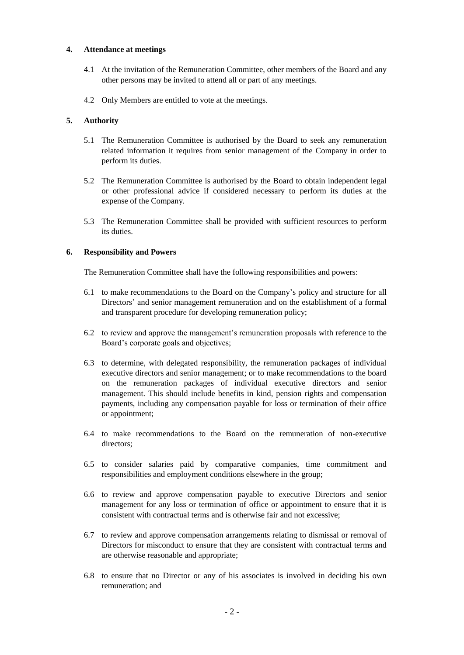#### **4. Attendance at meetings**

- 4.1 At the invitation of the Remuneration Committee, other members of the Board and any other persons may be invited to attend all or part of any meetings.
- 4.2 Only Members are entitled to vote at the meetings.

# **5. Authority**

- 5.1 The Remuneration Committee is authorised by the Board to seek any remuneration related information it requires from senior management of the Company in order to perform its duties.
- 5.2 The Remuneration Committee is authorised by the Board to obtain independent legal or other professional advice if considered necessary to perform its duties at the expense of the Company.
- 5.3 The Remuneration Committee shall be provided with sufficient resources to perform its duties.

## **6. Responsibility and Powers**

The Remuneration Committee shall have the following responsibilities and powers:

- 6.1 to make recommendations to the Board on the Company's policy and structure for all Directors' and senior management remuneration and on the establishment of a formal and transparent procedure for developing remuneration policy;
- 6.2 to review and approve the management's remuneration proposals with reference to the Board's corporate goals and objectives;
- 6.3 to determine, with delegated responsibility, the remuneration packages of individual executive directors and senior management; or to make recommendations to the board on the remuneration packages of individual executive directors and senior management. This should include benefits in kind, pension rights and compensation payments, including any compensation payable for loss or termination of their office or appointment;
- 6.4 to make recommendations to the Board on the remuneration of non-executive directors:
- 6.5 to consider salaries paid by comparative companies, time commitment and responsibilities and employment conditions elsewhere in the group;
- 6.6 to review and approve compensation payable to executive Directors and senior management for any loss or termination of office or appointment to ensure that it is consistent with contractual terms and is otherwise fair and not excessive;
- 6.7 to review and approve compensation arrangements relating to dismissal or removal of Directors for misconduct to ensure that they are consistent with contractual terms and are otherwise reasonable and appropriate;
- 6.8 to ensure that no Director or any of his associates is involved in deciding his own remuneration; and